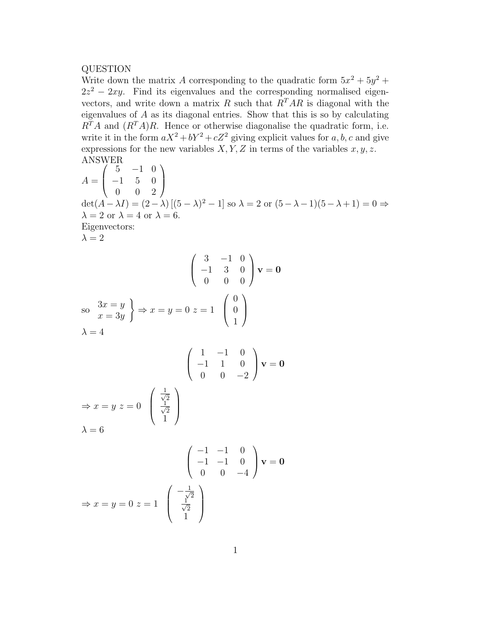## QUESTION

Write down the matrix A corresponding to the quadratic form  $5x^2 + 5y^2 +$  $2z^2 - 2xy$ . Find its eigenvalues and the corresponding normalised eigenvectors, and write down a matrix R such that  $R^{T}AR$  is diagonal with the eigenvalues of A as its diagonal entries. Show that this is so by calculating  $R<sup>T</sup>A$  and  $(R<sup>T</sup>A)R$ . Hence or otherwise diagonalise the quadratic form, i.e. write it in the form  $aX^2 + bY^2 + cZ^2$  giving explicit values for a, b, c and give expressions for the new variables  $X, Y, Z$  in terms of the variables  $x, y, z$ . ANSWER

Answer.  
\n
$$
A = \begin{pmatrix} 5 & -1 & 0 \\ -1 & 5 & 0 \\ 0 & 0 & 2 \end{pmatrix}
$$
\n
$$
det(A - \lambda I) = (2 - \lambda) [(5 - \lambda)^2 - 1] \text{ so } \lambda = 2 \text{ or } (5 - \lambda - 1)(5 - \lambda + 1) = 0 \Rightarrow
$$
\n
$$
\lambda = 2 \text{ or } \lambda = 4 \text{ or } \lambda = 6.
$$
\nEigenvectors:  
\n
$$
\lambda = 2
$$
\n
$$
\begin{pmatrix} 3 & -1 & 0 \\ -1 & 3 & 0 \\ 0 & 0 & 0 \end{pmatrix} \mathbf{v} = \mathbf{0}
$$
\nso\n
$$
\begin{array}{c} 3x = y \\ x = 3y \end{array} \Rightarrow x = y = 0 \quad z = 1 \quad \begin{pmatrix} 0 \\ 0 \\ 1 \end{pmatrix}
$$
\n
$$
\lambda = 4
$$
\n
$$
\begin{pmatrix} 1 & -1 & 0 \\ -1 & 1 & 0 \\ 0 & 0 & 0 \end{pmatrix} \mathbf{v} = \mathbf{0}
$$

$$
\Rightarrow x = y \ z = 0 \begin{pmatrix} \frac{1}{\sqrt{2}} \\ \frac{1}{\sqrt{2}} \\ 1 \end{pmatrix}
$$
  
\n
$$
\lambda = 6
$$
  
\n
$$
\begin{pmatrix} -1 & -1 & 0 \\ -1 & -1 & 0 \\ 0 & 0 & -4 \end{pmatrix} \mathbf{v} = \mathbf{0}
$$
  
\n
$$
\begin{pmatrix} -\frac{1}{\sqrt{2}} \\ \frac{1}{\sqrt{2}} \end{pmatrix}
$$

√ 1  $\overline{2}$  $\frac{1}{\sqrt{2}}$ 

 $\Rightarrow$   $x = y = 0$   $z = 1$